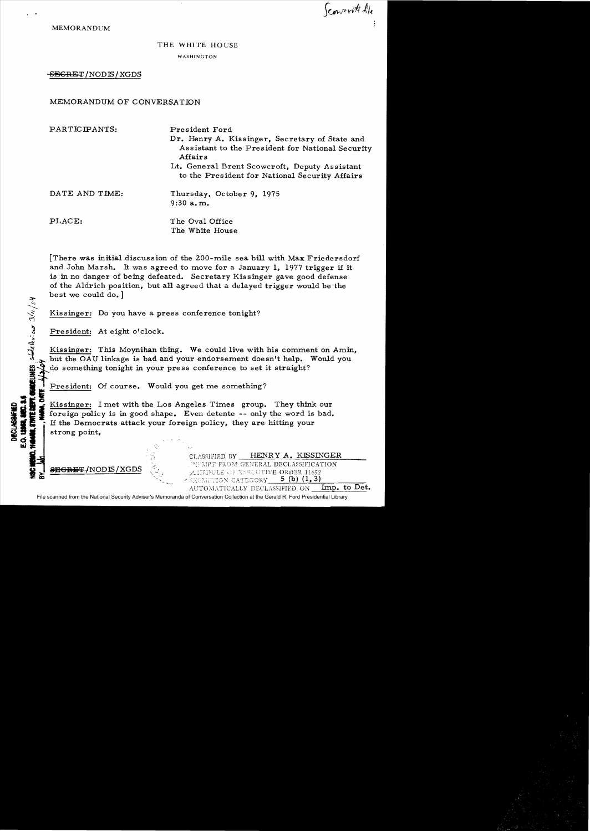Sconvert Ale

MEMORANDUM

## THE WHITE HOUSE

WASHINGTON

SEGRET / NODIS / XGDS

MEMORANDUM OF CONVERSATION

| PARTICIPANTS:  | President Ford<br>Dr. Henry A. Kissinger, Secretary of State and<br>Assistant to the President for National Security<br>Affairs |
|----------------|---------------------------------------------------------------------------------------------------------------------------------|
|                | Lt. General Brent Scowcroft, Deputy Assistant<br>to the President for National Security Affairs                                 |
| DATE AND TIME: | Thursday, October 9, 1975<br>$9:30$ a.m.                                                                                        |
| PLACE:         | The Oval Office<br>The White House                                                                                              |

[There was initial discussion of the ZOO-mile sea bill with Max Friedersdorf and John Marsh. It was agreed to move for a January I, 1977 trigger if it is in no danger of being defeated. Secretary Kissinger gave good defense of the Aldrich position, but all agreed that a delayed trigger would be the best we could do.]

Kissinger: Do you have a press conference tonight?

President: At eight o'clock.

';'  $\dot{\boldsymbol{\epsilon}}$ 

UNDELINES

**CHERO** 

Kissinger: This Moynihan thing. We could live with his comment on Amin, but the OAU linkage is bad and your endorsement doesn't help. Would you do something tonight in your press conference to set it straight?

<sup>I</sup>President: Of course. Would you get me something? **-,;** Freshelm: Of course. Would you get hie something?<br>
Kissinger: I met with the Los Angeles Times group. They think our<br>
Service of the Democrats attack your foreign policy, they are hitting your<br>
Service of the Democrats att **31** Exissinger: I met with the Los Angeles Times group. They think our set of the version policy is in good shape. Even detente -- only the word is bad. **flux** to reign policy is in good shape. Even detente -- only the word is<br> $\mathbf{g}$   $\mathbf{f}$ , if the Democrats attack your foreign policy, they are hitting your  $\frac{3}{2}$   $\frac{3}{2}$   $\frac{3}{2}$  if the Democrats attack your fore<br> $\frac{3}{2}$  strong point,

NODIS/XGDS

**여름 - 1985년 - 1986년 - 1986년 - 1986년 - 1986년 - 1986년 - 1986년 - 1986년 - 1986년 - 1986년 - 1986년 - 1986년 - 1986년 - 1** 

CLASSIFIED BY HENRY A. KISSINGER 'NEMPT FROM GENERAL DECLASSIFICATION DULE OF EXECUTIVE ORDER 11652  $\frac{1}{2}$ XEMPTION CATEGORY 5 (b) (1,3) AUTOMATICALLY DECLASSIFIED ON Imp. to Det.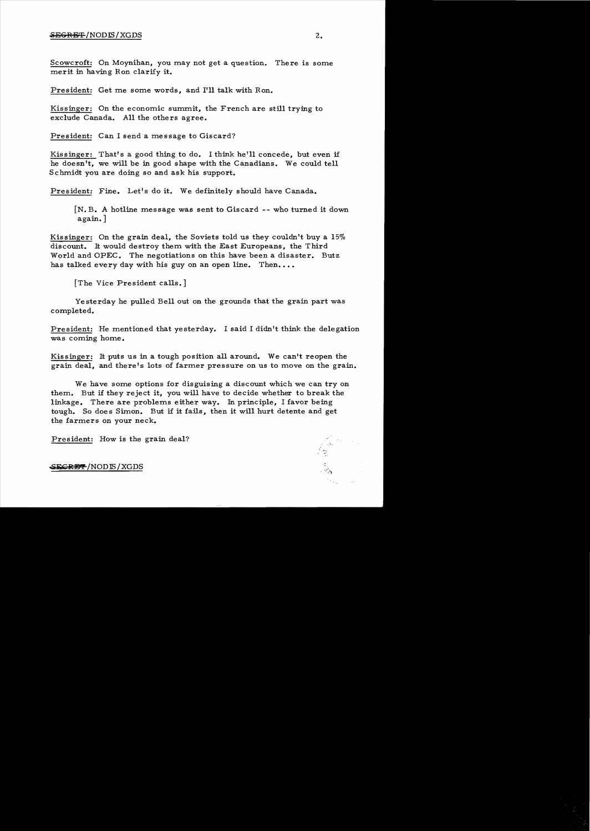## $S$  begreen the set of  $\mathbb{Z}_2$  . The set of  $S$  is  $2$  and  $2$  and  $2$  and  $2$  and  $2$  and  $2$  and  $2$  and  $2$  and  $2$  and  $2$  and  $2$  and  $2$  and  $2$  and  $2$  and  $2$  and  $2$  and  $2$  and  $2$  and  $2$  and  $2$  and  $2$  and

Scowcroft: On Moynihan, you may not get a question. There is some merit in having Ron clarify it.

President: Get me some words, and I'll talk with Ron.

Kissinger: On the economic summit, the French are still trying to exclude Canada. All the others agree.

President: Can I send a message to Giscard?

Kissinger: That's a good thing to do. I think he'll concede, but even if he doesn't, we will be in good shape with the Canadians. We could tell Schmidt you are doing so and ask his support.

President: Fine. Let's do it. We definitely should have Canada.

 $[N, B, A]$  hotline message was sent to Giscard -- who turned it down again. ]

Kissinger: On the grain deal, the Soviets told us they couldn't buy a 15% discount. It would destroy them with the East Europeans, the Third World and OPEC. The negotiations on this have been a disaster. Butz has talked every day with his guy on an open line. Then....

[The Vice President calls.]

Yesterday he pulled Bell out on the grounds that the grain part was completed.

President: He mentioned that yesterday. I said I didn't think the delegation was coming home.

Kissinger: It puts us in a tough position all around. We can't reopen the grain deal, and there's lots of farmer pressure on us to move on the grain.

We have some options for disguising a discount which we can try on them. But if they reject it, you will have to decide whether to break the linkage. There are problems either way. In principle, I favor being tough. So does Simon. But if it fails, then it will hurt detente and get the farmers on your neck.

President: How is the grain deal?

SE<del>GRET</del>/NODIS/XGDS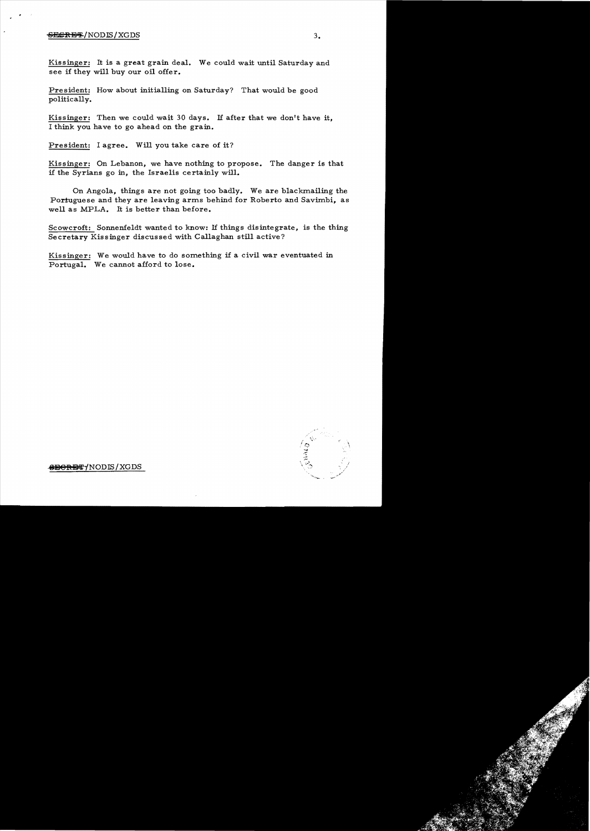## 6i13£lH3~/NODJS/XGDS *3.*

Kissinger: It is a great grain deal. We could wait until Saturday and see if they will buy our oil offer.

President: How about initialling on Saturday? That would be good politically.

Kissinger: Then we could wait 30 days. If after that we don't have it, I think you have to go ahead on the grain.

President: I agree. Will you take care of it?

Kissinger: On Lebanon, we have nothing to propose. The danger is that if the Syrians go in, the Israelis certainly will.

On Angola, things are not going too badly. We are blackmailing the Portuguese and they are leaving arms behind for Roberto and Savimbi, as well as MPLA. It is better than before.

Scowcroft: Sonnenfeldt wanted to know: If things disintegrate, is the thing Secretary Kissinger discussed with Callaghan still active?

Kissinger: We would have to do something if a civil war eventuated in Portugal. We cannot afford to lose.



<del>@BORET</del>/NODIS/XGDS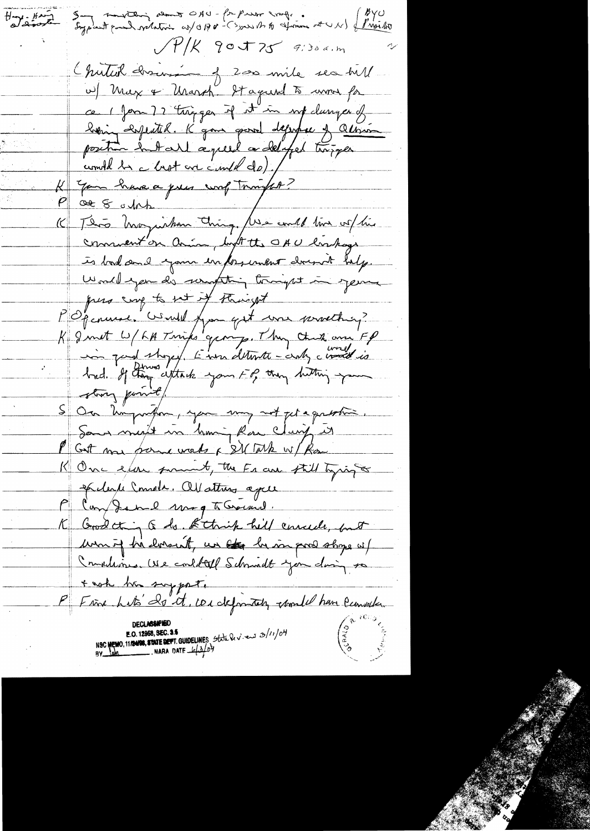Say southing about OAU - for press sorg. . (BYU) Hy King  $JY/K$  got  $Z$  9:30 a.m Chutul dosens of 200 mile sea hill w) Max & Urarch. It against to wron for ce 1 form 72 trong que if it in my clumper of being expected. K gone good depopee of Ollivian position huit a peut a délafet troisper You have a pres work Tompho? Ot 8 och This have justin thing Use could tive us his  $(\boldsymbol{\mathsf{C}}_+$ comment'on aring light the OAU linkage is bad and your informant drink help. Would you do something tonight in your pers corp to not it staringst M Openman. Would from get was procetting? K I with W/ FH Twinks group. They think are FP in part store). Enou detente - cents considérés S On Kingwithour, you may not get a question Sans merit in huni, Rou Clairy it I Gut more pour words & SM Take w/ Rose K One ear forment, the Frank till tyring Soclarke Consols. All attres age Compande mag To Gracial. K Good thing to be think hell concede, but won't be lorsent, un et be in port store of Compliance we could selment you doing to + note has supporte P Fine hats do it, we definitely chomed have cannoted NSC MEMO, 11/2408, STATE DEFT. GUIDELINES State leviers 3/11/04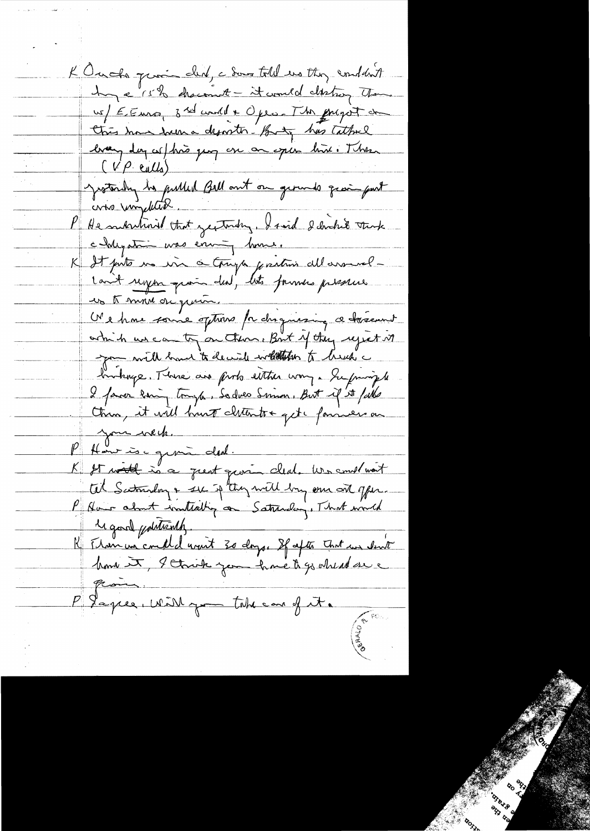K Out the prince deal, a done told us they conduct hope 15 % chacomet - it would clinton that us/ EENro, 3 rd world + Opes. The grapot de this have from a desorter. Buty has talked bran day sel hão quy en on esper hin i There (VP ealls) Jesterdry he publish Bell out on gerunds quant put who uniquities P He martinial that yesterday, I said I donked think chystra was environment. K It puts us in a truga partin allarment-Lant regen quois deal, lets formes presence us to move de quin. N'e hou source options pa chaquising a trasment which we can try on them. But of they reject it you will have to decide whether to herety a howburge. There are proto either way a Yupmingle I favor long tough, Sadves Sommer, But if it falls thin, it will hunt cliterative get c fanness on your week. P Hant is german deal. K It would in a great gravin cleat. We construct tel Scotmalay & se if they will by one ont offer. P Aver about instialing on Saturday, That would Macrol pointventy. R Manuncemell avant 30 days. If after that we don't home it, I think you have to go wheat se P Japier, with you take and it.